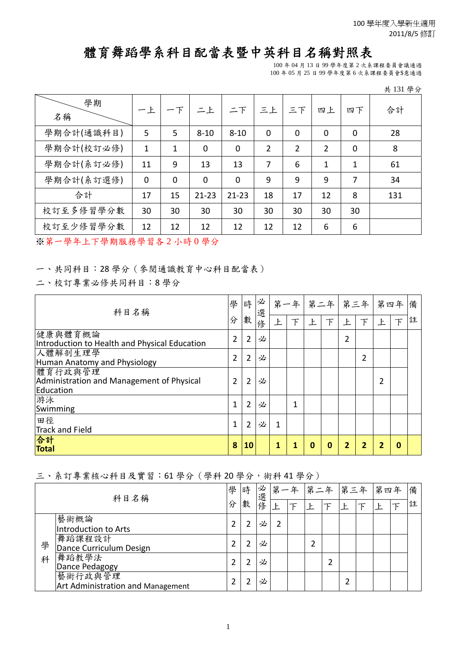## 體育舞蹈學系科目配當表暨中英科目名稱對照表

100 年 04 月 13 日 99 學年度第 2 次系課程委員會議通過 100 年 05 月 25 日 99 學年度第 6 次系課程委員會\$意通過

| H. | 131 | 分<br>學 |
|----|-----|--------|
|    |     |        |

| 學期<br>名稱   | 一上             | 下           | 二上             | 二下             | 三上 | 三下             | 四上             | 四下          | 合計  |
|------------|----------------|-------------|----------------|----------------|----|----------------|----------------|-------------|-----|
| 學期合計(通識科目) | 5              | 5           | $8 - 10$       | $8 - 10$       | 0  | $\overline{0}$ | $\overline{0}$ | $\mathbf 0$ | 28  |
| 學期合計(校訂必修) | 1              | 1           | $\overline{0}$ | $\overline{0}$ | 2  | $\overline{2}$ | $\overline{2}$ | $\mathbf 0$ | 8   |
| 學期合計(系訂必修) | 11             | 9           | 13             | 13             | 7  | 6              | 1              | 1           | 61  |
| 學期合計(系訂選修) | $\overline{0}$ | $\mathbf 0$ | $\overline{0}$ | $\overline{0}$ | 9  | 9              | 9              | 7           | 34  |
| 合計         | 17             | 15          | $21 - 23$      | $21 - 23$      | 18 | 17             | 12             | 8           | 131 |
| 校訂至多修習學分數  | 30             | 30          | 30             | 30             | 30 | 30             | 30             | 30          |     |
| 校訂至少修習學分數  | 12             | 12          | 12             | 12             | 12 | 12             | 6              | 6           |     |

※第一學年上下學期服務學習各 2 小時 0 學分

一、共同科目:28 學分(參閱通識教育中心科目配當表)

二、校訂專業必修共同科目:8 學分

| 科目名稱                                                              |                | 時              | 必<br>選 | 第一年 |              | 第二年 |   | 第三年 |   | 第四年 |          | 備 |
|-------------------------------------------------------------------|----------------|----------------|--------|-----|--------------|-----|---|-----|---|-----|----------|---|
|                                                                   | 分              | 數              | 俢      | 上   | 下            | 上   |   | 上   | 下 | 上   | 下        | 註 |
| 健康與體育概論<br>Introduction to Health and Physical Education          | $\overline{2}$ | $\overline{2}$ | 必      |     |              |     |   | 2   |   |     |          |   |
| 人體解剖生理學<br>Human Anatomy and Physiology                           | $\overline{2}$ | $\overline{2}$ | 必      |     |              |     |   |     | 2 |     |          |   |
| 體育行政與管理<br>Administration and Management of Physical<br>Education | 2              | $\overline{2}$ | 必      |     |              |     |   |     |   | 2   |          |   |
| 游泳<br>Swimming                                                    | 1              | $\overline{2}$ | 必      |     | $\mathbf{1}$ |     |   |     |   |     |          |   |
| 田徑<br><b>Track and Field</b>                                      | 1              | $\overline{2}$ | 必      |     |              |     |   |     |   |     |          |   |
| 合計<br><b>Total</b>                                                | 8              | 10             |        |     | 1            | 0   | O | 2   | 2 |     | $\bf{0}$ |   |

三、系訂專業核心科目及實習:61 學分(學科 20 學分,術科 41 學分)

| 科目名稱 |                                              | 學 | 時 | 必<br>選 | 第 | 年 | 第二年 |   | 第三年 |     |   | 備 |
|------|----------------------------------------------|---|---|--------|---|---|-----|---|-----|-----|---|---|
|      |                                              | 分 | 數 | 蓚      |   |   |     |   | Ł   | 第四年 | 註 |   |
|      | 藝術概論<br>Introduction to Arts                 |   |   | 必      |   |   |     |   |     |     |   |   |
| 學    | 舞蹈課程設計<br>Dance Curriculum Design            |   |   | 必      |   |   |     |   |     |     |   |   |
| 科    | 舞蹈教學法<br>Dance Pedagogy                      |   |   | 必      |   |   |     | ำ |     |     |   |   |
|      | 藝術行政與管理<br>Art Administration and Management |   |   | 必      |   |   |     |   | 2   |     |   |   |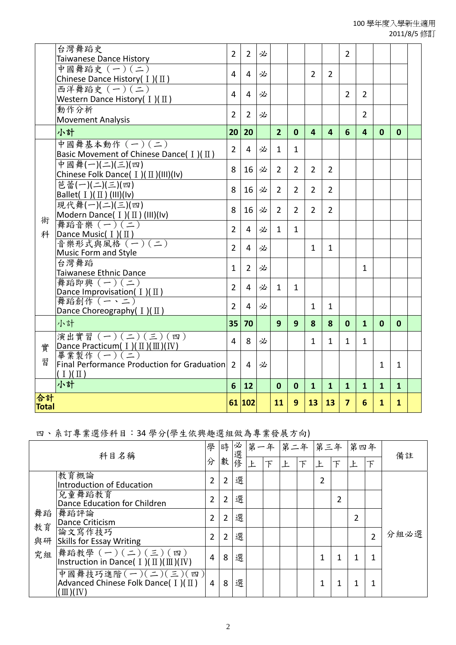|                    | 台灣舞蹈史<br>Taiwanese Dance History                                                | $\overline{2}$ | $\overline{2}$ | 必 |                |                |                |                | $\overline{2}$ |                |              |              |  |
|--------------------|---------------------------------------------------------------------------------|----------------|----------------|---|----------------|----------------|----------------|----------------|----------------|----------------|--------------|--------------|--|
|                    | 中國舞蹈史 (一)(二)<br>Chinese Dance History( $I$ )( $\text{II}$ )                     | 4              | 4              | 必 |                |                | $\mathcal{P}$  | $\overline{2}$ |                |                |              |              |  |
|                    | 西洋舞蹈史 (一)(二)<br>Western Dance History( $I$ )( $\text{II}$ )                     | $\overline{4}$ | 4              | 必 |                |                |                |                | $\overline{2}$ | 2              |              |              |  |
|                    | 動作分析<br><b>Movement Analysis</b>                                                | $\overline{2}$ | $\overline{2}$ | 必 |                |                |                |                |                | $\overline{2}$ |              |              |  |
|                    | 小計                                                                              | 20             | 20             |   | $\overline{2}$ | $\mathbf{0}$   | 4              | 4              | 6              | 4              | $\mathbf{0}$ | $\mathbf 0$  |  |
|                    | 中國舞基本動作 (一)(二)<br>Basic Movement of Chinese Dance( $I$ )( $\text{II}$ )         | $\overline{2}$ | 4              | 必 | 1              | $\mathbf{1}$   |                |                |                |                |              |              |  |
|                    | 中國舞(一)(二)(三)(四)<br>Chinese Folk Dance( $I$ )( $II$ )(III)(Iv)                   | 8              | 16             | 必 | $\overline{2}$ | $\overline{2}$ | $\overline{2}$ | $\overline{2}$ |                |                |              |              |  |
|                    | 芭蕾(一)(二)(三)(四)<br>Ballet( $I$ )( $II$ ) (III)(Iv)                               | 8              | 16             | 必 | $\overline{2}$ | $\overline{2}$ | $\overline{2}$ | $\overline{2}$ |                |                |              |              |  |
| 術                  | 現代舞(一)(二)(三)(四)<br>Modern Dance( I )( II ) (III)(Iv)<br>舞蹈音樂 (一)(二)             | 8              | 16             | 必 | $\overline{2}$ | $\overline{2}$ | $\overline{2}$ | $\overline{2}$ |                |                |              |              |  |
| 科                  | Dance Music( 1 )( II )<br>音樂形式與風格 (一) (二)                                       | $\overline{2}$ | 4              | 必 | $\mathbf{1}$   | $\mathbf{1}$   |                |                |                |                |              |              |  |
|                    | Music Form and Style                                                            | $\overline{2}$ | 4              | 必 |                |                | $\mathbf{1}$   | $\mathbf{1}$   |                |                |              |              |  |
|                    | 台灣舞蹈<br>Taiwanese Ethnic Dance                                                  | $\mathbf{1}$   | $\overline{2}$ | 必 |                |                |                |                |                | 1              |              |              |  |
|                    | 舞蹈即興 (一)(二)<br>Dance Improvisation( $I$ )( $\text{II}$ )                        | $\overline{2}$ | $\overline{4}$ | 必 | $\mathbf{1}$   | $\mathbf{1}$   |                |                |                |                |              |              |  |
|                    | 舞蹈創作 (一、二)<br>Dance Choreography( $I$ )( $\text{II}$ )                          | $\overline{2}$ | 4              | 必 |                |                | $\mathbf{1}$   | $\mathbf{1}$   |                |                |              |              |  |
|                    | 小計                                                                              | 35             | 70             |   | 9              | 9              | 8              | 8              | $\mathbf{0}$   | $\mathbf{1}$   | $\mathbf{0}$ | $\mathbf{0}$ |  |
| 實                  | 演出實習 (一)(二)(三)(四)<br>Dance Practicum( I )( II )( III )( IV)                     | 4              | 8              | 必 |                |                | $\mathbf{1}$   | $\mathbf{1}$   | $\mathbf{1}$   | $\mathbf{1}$   |              |              |  |
| 習                  | 畢業製作 (一)(二)<br>Final Performance Production for Graduation<br>$(1)(\mathbb{I})$ | $\overline{2}$ | 4              | 必 |                |                |                |                |                |                | 1            | 1            |  |
|                    | 小計                                                                              | 6              | 12             |   | $\bf{0}$       | $\mathbf 0$    | $\mathbf{1}$   | $\mathbf{1}$   | $\mathbf{1}$   | 1              | $\mathbf{1}$ | $\mathbf{1}$ |  |
| 合計<br><b>Total</b> |                                                                                 |                | 61 102         |   | 11             | 9              | 13             | 13             | $\overline{7}$ | 6              | $\mathbf{1}$ | $\mathbf{1}$ |  |

## 四、系訂專業選修科目:34 學分(學生依興趣選組做為專業發展方向)

| 科目名稱     |                                                                                                        | 學 | 時 | 必  | 第一年 |   | 第二年 |   | 第三年 |   | 第四年 |   | 備註   |
|----------|--------------------------------------------------------------------------------------------------------|---|---|----|-----|---|-----|---|-----|---|-----|---|------|
|          |                                                                                                        | 分 | 數 | 選修 |     | Ъ | ŀ   | 下 |     | 下 |     | 下 |      |
|          | 教育概論<br>Introduction of Education                                                                      | 2 | 2 | 選  |     |   |     |   | 2   |   |     |   |      |
|          | 兒童舞蹈教育<br>Dance Education for Children                                                                 | 2 | 2 | 選  |     |   |     |   |     | 2 |     |   |      |
| 舞蹈<br>教育 | 舞蹈評論<br>Dance Criticism                                                                                | 2 | 2 | 選  |     |   |     |   |     |   | 2   |   |      |
| 與研       | 論文寫作技巧<br><b>Skills for Essay Writing</b>                                                              | 2 | 2 | 選  |     |   |     |   |     |   |     | 2 | 分組必選 |
| 究組       | 舞蹈教學 (一) (二) (三) (四)<br> Instruction in Dance(Ⅰ)(Ⅱ)(Ⅲ)(Ⅳ)                                              | 4 | 8 | 選  |     |   |     |   | ◢   | 1 | 1   |   |      |
|          | 中國舞技巧進階(一)(二)(三)(四)<br>Advanced Chinese Folk Dance( $\text{I}$ )( $\text{II}$ )<br>$(\mathbb{I})$ (IV) | 4 | 8 | 選  |     |   |     |   |     |   |     |   |      |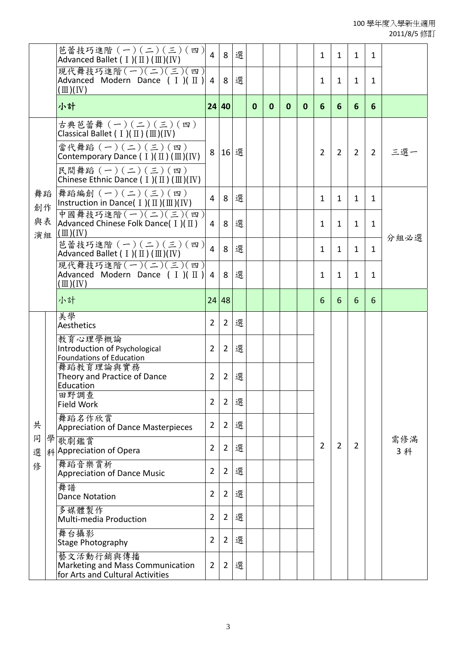|          | 芭蕾技巧進階 (一)(二)(三)(四)<br>Advanced Ballet ( $I$ )( $\mathbb{II}$ ) ( $\mathbb{II}$ )( IV)                                                                                                                                                                  | $\overline{4}$ | 8              | 選 |          |              |              |              | $\mathbf{1}$   | $\mathbf{1}$   | $\mathbf{1}$   | $\mathbf{1}$   |            |  |  |  |
|----------|---------------------------------------------------------------------------------------------------------------------------------------------------------------------------------------------------------------------------------------------------------|----------------|----------------|---|----------|--------------|--------------|--------------|----------------|----------------|----------------|----------------|------------|--|--|--|
|          | 現代舞技巧進階(一)(二)(三)(四)<br>Advanced Modern Dance $( I ) ( II )$<br>$(\mathbb{I})$ (IV)                                                                                                                                                                      | $\overline{4}$ | 8              | 選 |          |              |              |              | $\mathbf{1}$   | $\mathbf{1}$   | 1              | $\mathbf{1}$   |            |  |  |  |
|          | 小計                                                                                                                                                                                                                                                      |                | 24 40          |   | $\bf{0}$ | $\mathbf{0}$ | $\mathbf{0}$ | $\mathbf{0}$ | 6              | 6              | 6              | 6              |            |  |  |  |
|          | 古典芭蕾舞 (一)(二)(三)(四)<br>Classical Ballet ( $I$ )( $\pi$ ) ( $\pi$ )(IV)<br>當代舞蹈 (一)(二)(三)(四)<br>Contemporary Dance $( I ) ( II ) ( III ) ( IV )$<br>民間舞蹈 $(-)(-)(-)(=)(\text{g})$<br>Chinese Ethnic Dance ( $I$ )( $\mathbb{II}$ ) ( $\mathbb{II}$ )( IV) | 8              | 16             | 選 |          |              |              |              | $\overline{2}$ | $\overline{2}$ | $\overline{2}$ | $\overline{2}$ | 三選一        |  |  |  |
| 舞蹈<br>創作 | 舞蹈編創 $(-)(\leq)(\leq)(\mathfrak{m})$<br>Instruction in Dance( $I$ )( $\mathbb{II}$ )( $\mathbb{II}$ )( $\mathbb{IV}$ )                                                                                                                                  | $\overline{4}$ | 8              | 選 |          |              |              |              | $\mathbf{1}$   | $\mathbf{1}$   | $\mathbf{1}$   | $\mathbf{1}$   |            |  |  |  |
| 與表<br>演組 | 中國舞技巧進階(一)(二)(三)(四)<br>Advanced Chinese Folk Dance( $I$ )( $II$ )<br>$(\mathbb{I})$ (IV)                                                                                                                                                                | $\overline{4}$ | 8              | 選 |          |              |              |              | $\mathbf{1}$   | $\mathbf{1}$   | $\mathbf{1}$   | $\mathbf{1}$   | 分組必選       |  |  |  |
|          | 芭蕾技巧進階 (一)(二)(三)(四)<br>Advanced Ballet ( $I$ )( $\mathbb{II}$ ) ( $\mathbb{II}$ )(IV)                                                                                                                                                                   | $\overline{4}$ | 8              | 選 |          |              |              |              | $\mathbf{1}$   | $\mathbf{1}$   | $\mathbf{1}$   | $\mathbf{1}$   |            |  |  |  |
|          | 現代舞技巧進階(一)(二)(三)(四)<br>Advanced Modern Dance $( I ) ( II )$<br>$(\mathbb{I})$ (IV)                                                                                                                                                                      | $\overline{4}$ | 8              | 選 |          |              |              |              | $\mathbf{1}$   | $\mathbf{1}$   | $\mathbf{1}$   | $\mathbf{1}$   |            |  |  |  |
|          | 小計                                                                                                                                                                                                                                                      |                | 24 48          |   |          |              |              |              | 6              | 6              | 6              | 6              |            |  |  |  |
|          | 美學<br>Aesthetics                                                                                                                                                                                                                                        | $\overline{2}$ | $2^{\circ}$    | 選 |          |              |              |              |                |                |                |                |            |  |  |  |
|          | 教育心理學概論<br>Introduction of Psychological<br>Foundations of Education                                                                                                                                                                                    | $\overline{2}$ | $\mathbf{2}$   | 選 |          |              |              |              |                |                |                |                |            |  |  |  |
|          | 舞蹈教育理論與實務<br>Theory and Practice of Dance<br>Education                                                                                                                                                                                                  | $\overline{2}$ | $\overline{2}$ | 選 |          |              |              |              |                |                |                |                |            |  |  |  |
|          | 田野調查<br><b>Field Work</b>                                                                                                                                                                                                                               | $\overline{2}$ | $\overline{2}$ | 選 |          |              |              |              |                |                |                |                |            |  |  |  |
| 共        | 舞蹈名作欣賞<br>Appreciation of Dance Masterpieces                                                                                                                                                                                                            | $\overline{2}$ | $\overline{2}$ | 選 |          |              |              |              |                |                |                |                |            |  |  |  |
| 同<br>選   | 學歌劇鑑賞<br>科Appreciation of Opera                                                                                                                                                                                                                         | $\overline{2}$ | $\overline{2}$ | 選 |          |              |              |              | $\overline{2}$ | $\overline{2}$ | 2              |                | 需修滿<br>3 科 |  |  |  |
| 俢        | 舞蹈音樂賞析<br><b>Appreciation of Dance Music</b>                                                                                                                                                                                                            | $\overline{2}$ | $\overline{2}$ | 選 |          |              |              |              |                |                |                |                |            |  |  |  |
|          | 舞譜<br><b>Dance Notation</b>                                                                                                                                                                                                                             | $\overline{2}$ | $\overline{2}$ | 選 |          |              |              |              |                |                |                |                |            |  |  |  |
|          | 多媒體製作<br>Multi-media Production                                                                                                                                                                                                                         | $\overline{2}$ | $\overline{2}$ | 選 |          |              |              |              |                |                |                |                |            |  |  |  |
|          | 舞台攝影<br>Stage Photography                                                                                                                                                                                                                               | $\overline{2}$ | $\overline{2}$ | 選 |          |              |              |              |                |                |                |                |            |  |  |  |
|          | 藝文活動行銷與傳播<br>Marketing and Mass Communication<br>for Arts and Cultural Activities                                                                                                                                                                       | $\overline{2}$ | $\overline{2}$ | 選 |          |              |              |              |                |                |                |                |            |  |  |  |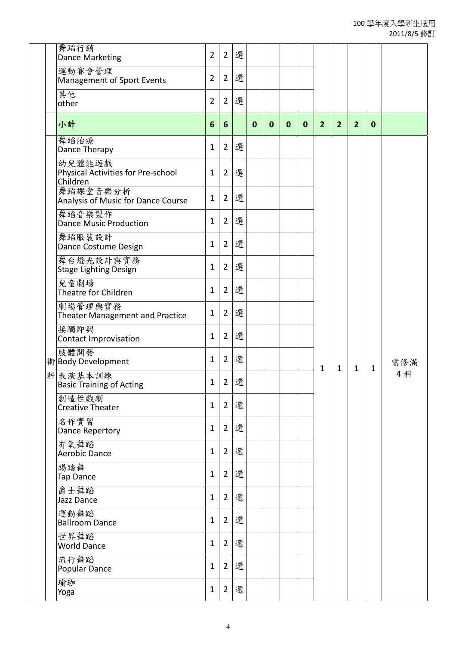| 舞蹈行銷<br><b>Dance Marketing</b>                           | $\overline{2}$ | $\overline{2}$ | 選   |             |             |              |              |                |                |                |              |     |
|----------------------------------------------------------|----------------|----------------|-----|-------------|-------------|--------------|--------------|----------------|----------------|----------------|--------------|-----|
| 運動賽會管理<br><b>Management of Sport Events</b>              | 2              | $\overline{2}$ | 選   |             |             |              |              |                |                |                |              |     |
| 其他<br>other                                              | 2              | $2^{\circ}$    | 選   |             |             |              |              |                |                |                |              |     |
| 小計                                                       | 6              | 6              |     | $\mathbf 0$ | $\mathbf 0$ | $\mathbf{0}$ | $\mathbf{0}$ | $\overline{2}$ | $\overline{2}$ | $\overline{2}$ | $\mathbf 0$  |     |
| 舞蹈治療<br>Dance Therapy                                    | 1              | $2^{\circ}$    | 選   |             |             |              |              |                |                |                |              |     |
| 幼兒體能遊戲<br>Physical Activities for Pre-school<br>Children | 1              | $\overline{2}$ | 選   |             |             |              |              |                |                |                |              |     |
| 舞蹈課堂音樂分析<br>Analysis of Music for Dance Course           | 1              | $2^{\circ}$    | 選   |             |             |              |              |                |                |                |              |     |
| 舞蹈音樂製作<br><b>Dance Music Production</b>                  | 1              | $2^{\circ}$    | 選   |             |             |              |              |                |                |                |              |     |
| 舞蹈服裝設計<br>Dance Costume Design                           | 1              | $\overline{2}$ | 選   |             |             |              |              |                |                |                |              |     |
| 舞台燈光設計與實務<br><b>Stage Lighting Design</b>                | 1              | $2^{\circ}$    | 選   |             |             |              |              |                |                |                |              |     |
| 兒童劇場<br>Theatre for Children                             | 1              | $\overline{2}$ | 選   |             |             |              |              |                |                |                |              |     |
| 劇場管理與實務<br>Theater Management and Practice               | 1              | $2^{\circ}$    | 選   |             |             |              |              |                |                |                |              |     |
| 接觸即興<br><b>Contact Improvisation</b>                     | 1              | $\overline{2}$ | 選   |             |             |              |              |                |                |                |              |     |
| 肢體開發<br>術 Body Development                               | 1              | $2^{\circ}$    | 選   |             |             |              |              |                |                |                |              | 需修滿 |
| 科表演基本訓練<br><b>Basic Training of Acting</b>               | 1              |                | 2 選 |             |             |              |              | $\mathbf 1$    | $\mathbf{1}$   | $\mathbf{1}$   | $\mathbf{1}$ | 4科  |
| 創造性戲劇<br><b>Creative Theater</b>                         | $\mathbf{1}$   | $2^{\circ}$    | 選   |             |             |              |              |                |                |                |              |     |
| 名作實習<br>Dance Repertory                                  | $\mathbf{1}$   | $2^{\circ}$    | 選   |             |             |              |              |                |                |                |              |     |
| 有氧舞蹈<br>Aerobic Dance                                    | $\mathbf{1}$   | $2^{\circ}$    | 選   |             |             |              |              |                |                |                |              |     |
| 踢踏舞<br>Tap Dance                                         | $\mathbf 1$    | $\overline{2}$ | 選   |             |             |              |              |                |                |                |              |     |
| 爵士舞蹈<br>Jazz Dance                                       | $\mathbf{1}$   | $\overline{2}$ | 選   |             |             |              |              |                |                |                |              |     |
| 運動舞蹈<br><b>Ballroom Dance</b>                            | $\mathbf 1$    | $\overline{2}$ | 選   |             |             |              |              |                |                |                |              |     |
| 世界舞蹈<br><b>World Dance</b>                               | $\mathbf{1}$   | $\overline{2}$ | 選   |             |             |              |              |                |                |                |              |     |
| 流行舞蹈<br>Popular Dance                                    | $\mathbf 1$    | $\overline{2}$ | 選   |             |             |              |              |                |                |                |              |     |
| 瑜珈<br>Yoga                                               | $\mathbf{1}$   | $\overline{2}$ | 選   |             |             |              |              |                |                |                |              |     |